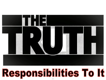

# **Responsibilities To It**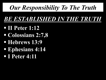#### *BE ESTABLISHED IN THE TRUTH*

- § **II Peter 1:12**
- § **Colossians 2:7,8**
- § **Hebrews 13:9**
- § **Ephesians 4:14**
- § **I Peter 4:11**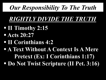#### *RIGHTLY DIVIDE THE TRUTH*

- § **II Timothy 2:15**
- § **Acts 20:27**
- § **II Corinthians 4:2**
- § **A Text Without A Context Is A Mere Pretext (Ex: I Corinthians 1:17)**  § **Do Not Twist Scripture (II Pet. 3:16)**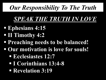#### *SPEAK THE TRUTH IN LOVE*

- § **Ephesians 4:15**
- § **II Timothy 4:2**
- *<u>Preaching needs to be balanced!</u>*
- § **Our motivation is love for souls!** 
	- § **Ecclesiastes 12:7**
	- § **I Corinthians 13:4-8**
	- § **Revelation 3:19**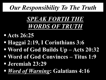## *SPEAK FORTH THE WORDS OF TRUTH*

- § **Acts 26:25**
- § **Haggai 2:19, I Corinthians 3:6**
- § **Word of God Builds Up Acts 20:32**
- § **Word of God Convinces Titus 1:9**
- § **Jeremiah 23:29**
- § *Word of Warning***: Galatians 4:16**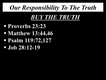#### *BUY THE TRUTH*

- § **Proverbs 23:23**
- § **Matthew 13:44,46**
- § **Psalm 119:72,127**
- § **Job 28:12-19**